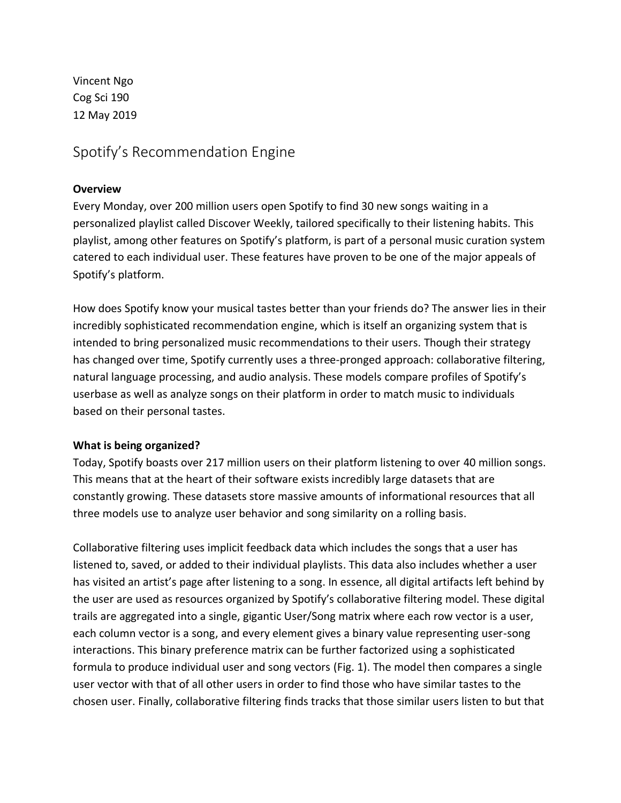Vincent Ngo Cog Sci 190 12 May 2019

Spotify's Recommendation Engine

# **Overview**

Every Monday, over 200 million users open Spotify to find 30 new songs waiting in a personalized playlist called Discover Weekly, tailored specifically to their listening habits. This playlist, among other features on Spotify's platform, is part of a personal music curation system catered to each individual user. These features have proven to be one of the major appeals of Spotify's platform.

How does Spotify know your musical tastes better than your friends do? The answer lies in their incredibly sophisticated recommendation engine, which is itself an organizing system that is intended to bring personalized music recommendations to their users. Though their strategy has changed over time, Spotify currently uses a three-pronged approach: collaborative filtering, natural language processing, and audio analysis. These models compare profiles of Spotify's userbase as well as analyze songs on their platform in order to match music to individuals based on their personal tastes.

# **What is being organized?**

Today, Spotify boasts over 217 million users on their platform listening to over 40 million songs. This means that at the heart of their software exists incredibly large datasets that are constantly growing. These datasets store massive amounts of informational resources that all three models use to analyze user behavior and song similarity on a rolling basis.

Collaborative filtering uses implicit feedback data which includes the songs that a user has listened to, saved, or added to their individual playlists. This data also includes whether a user has visited an artist's page after listening to a song. In essence, all digital artifacts left behind by the user are used as resources organized by Spotify's collaborative filtering model. These digital trails are aggregated into a single, gigantic User/Song matrix where each row vector is a user, each column vector is a song, and every element gives a binary value representing user-song interactions. This binary preference matrix can be further factorized using a sophisticated formula to produce individual user and song vectors (Fig. 1). The model then compares a single user vector with that of all other users in order to find those who have similar tastes to the chosen user. Finally, collaborative filtering finds tracks that those similar users listen to but that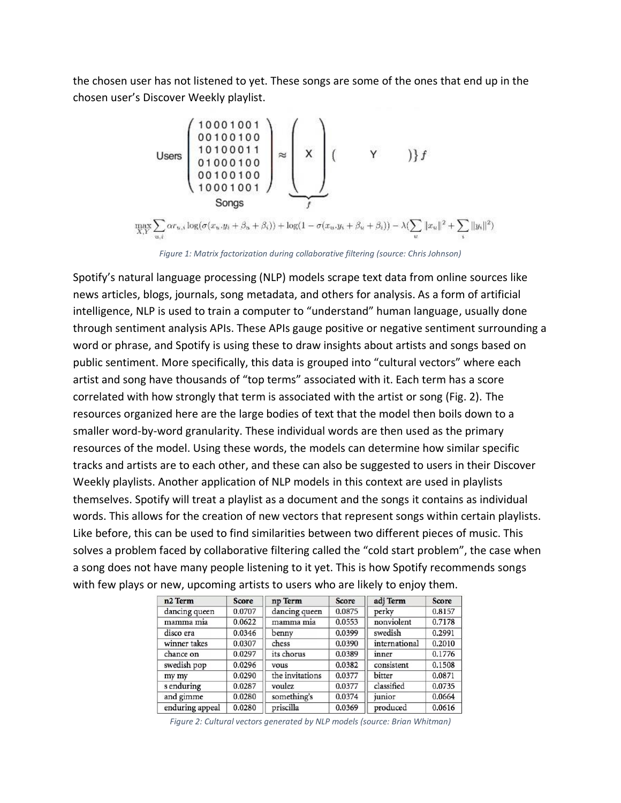the chosen user has not listened to yet. These songs are some of the ones that end up in the chosen user's Discover Weekly playlist.

$$
\text{Users} \left( \begin{array}{c} 10001001 \\ 00100100 \\ 10100011 \\ 01000100 \\ 10001001 \end{array} \right) \approx \left( \begin{array}{c} 10001001 \\ 1 \\ 0 \\ 0 \\ 1 \end{array} \right) \left( \begin{array}{c} 10001001 \\ 0 \\ 0 \\ 0 \\ 0 \end{array} \right)
$$
\n
$$
\text{Songs} \left( \begin{array}{c} 1 \\ 0 \\ 0 \\ 0 \\ 0 \end{array} \right) + \log(1 - \sigma(x_u, y_i + \beta_u + \beta_i)) - \lambda (\sum_u ||x_u||^2 + \sum_i ||y_i||^2)
$$

*Figure 1: Matrix factorization during collaborative filtering (source: Chris Johnson)*

Spotify's natural language processing (NLP) models scrape text data from online sources like news articles, blogs, journals, song metadata, and others for analysis. As a form of artificial intelligence, NLP is used to train a computer to "understand" human language, usually done through sentiment analysis APIs. These APIs gauge positive or negative sentiment surrounding a word or phrase, and Spotify is using these to draw insights about artists and songs based on public sentiment. More specifically, this data is grouped into "cultural vectors" where each artist and song have thousands of "top terms" associated with it. Each term has a score correlated with how strongly that term is associated with the artist or song (Fig. 2). The resources organized here are the large bodies of text that the model then boils down to a smaller word-by-word granularity. These individual words are then used as the primary resources of the model. Using these words, the models can determine how similar specific tracks and artists are to each other, and these can also be suggested to users in their Discover Weekly playlists. Another application of NLP models in this context are used in playlists themselves. Spotify will treat a playlist as a document and the songs it contains as individual words. This allows for the creation of new vectors that represent songs within certain playlists. Like before, this can be used to find similarities between two different pieces of music. This solves a problem faced by collaborative filtering called the "cold start problem", the case when a song does not have many people listening to it yet. This is how Spotify recommends songs with few plays or new, upcoming artists to users who are likely to enjoy them.

| n <sub>2</sub> Term | <b>Score</b> | np Term         | Score  | adj Term      | <b>Score</b> |
|---------------------|--------------|-----------------|--------|---------------|--------------|
| dancing queen       | 0.0707       | dancing queen   | 0.0875 | perky         | 0.8157       |
| mamma mia           | 0.0622       | mamma mia       | 0.0553 | nonviolent    | 0.7178       |
| disco era           | 0.0346       | benny           | 0.0399 | swedish       | 0.2991       |
| winner takes        | 0.0307       | chess           | 0.0390 | international | 0.2010       |
| chance on           | 0.0297       | its chorus      | 0.0389 | inner         | 0.1776       |
| swedish pop         | 0.0296       | vous            | 0.0382 | consistent    | 0.1508       |
| my my               | 0.0290       | the invitations | 0.0377 | bitter        | 0.0871       |
| s enduring          | 0.0287       | voulez          | 0.0377 | classified    | 0.0735       |
| and gimme           | 0.0280       | something's     | 0.0374 | junior        | 0.0664       |
| enduring appeal     | 0.0280       | priscilla       | 0.0369 | produced      | 0.0616       |

*Figure 2: Cultural vectors generated by NLP models (source: Brian Whitman)*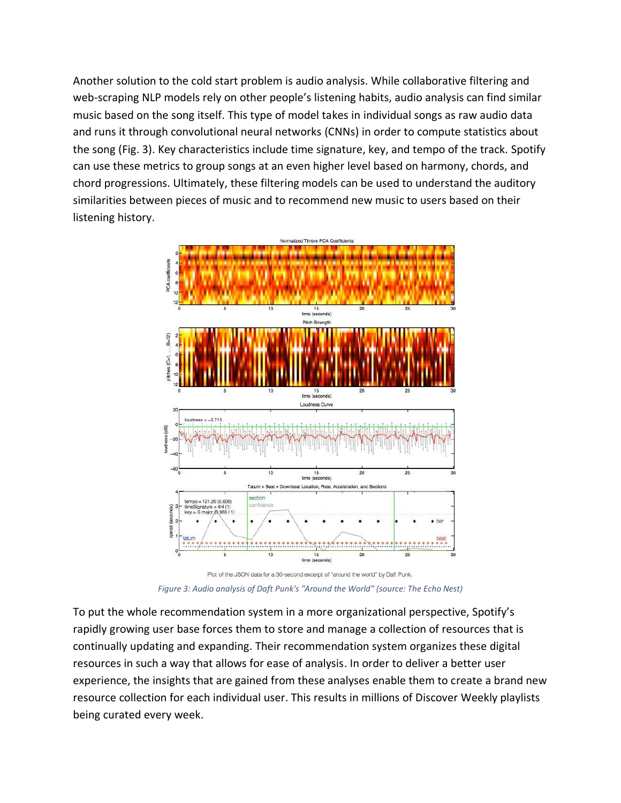Another solution to the cold start problem is audio analysis. While collaborative filtering and web-scraping NLP models rely on other people's listening habits, audio analysis can find similar music based on the song itself. This type of model takes in individual songs as raw audio data and runs it through convolutional neural networks (CNNs) in order to compute statistics about the song (Fig. 3). Key characteristics include time signature, key, and tempo of the track. Spotify can use these metrics to group songs at an even higher level based on harmony, chords, and chord progressions. Ultimately, these filtering models can be used to understand the auditory similarities between pieces of music and to recommend new music to users based on their listening history.



Plot of the JSON data for a 30-second excerpt of "around the world" by Daft Punk. *Figure 3: Audio analysis of Daft Punk's "Around the World" (source: The Echo Nest)*

To put the whole recommendation system in a more organizational perspective, Spotify's rapidly growing user base forces them to store and manage a collection of resources that is continually updating and expanding. Their recommendation system organizes these digital resources in such a way that allows for ease of analysis. In order to deliver a better user experience, the insights that are gained from these analyses enable them to create a brand new resource collection for each individual user. This results in millions of Discover Weekly playlists being curated every week.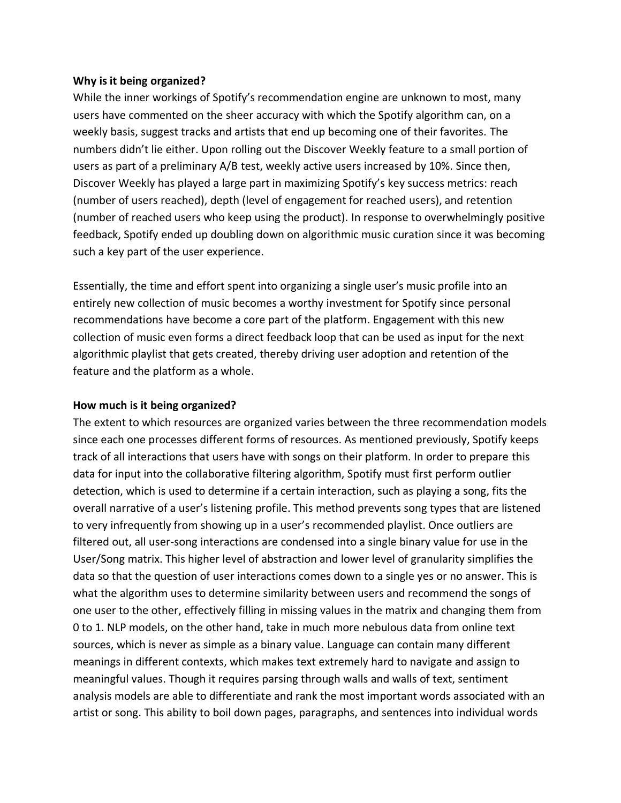#### **Why is it being organized?**

While the inner workings of Spotify's recommendation engine are unknown to most, many users have commented on the sheer accuracy with which the Spotify algorithm can, on a weekly basis, suggest tracks and artists that end up becoming one of their favorites. The numbers didn't lie either. Upon rolling out the Discover Weekly feature to a small portion of users as part of a preliminary A/B test, weekly active users increased by 10%. Since then, Discover Weekly has played a large part in maximizing Spotify's key success metrics: reach (number of users reached), depth (level of engagement for reached users), and retention (number of reached users who keep using the product). In response to overwhelmingly positive feedback, Spotify ended up doubling down on algorithmic music curation since it was becoming such a key part of the user experience.

Essentially, the time and effort spent into organizing a single user's music profile into an entirely new collection of music becomes a worthy investment for Spotify since personal recommendations have become a core part of the platform. Engagement with this new collection of music even forms a direct feedback loop that can be used as input for the next algorithmic playlist that gets created, thereby driving user adoption and retention of the feature and the platform as a whole.

## **How much is it being organized?**

The extent to which resources are organized varies between the three recommendation models since each one processes different forms of resources. As mentioned previously, Spotify keeps track of all interactions that users have with songs on their platform. In order to prepare this data for input into the collaborative filtering algorithm, Spotify must first perform outlier detection, which is used to determine if a certain interaction, such as playing a song, fits the overall narrative of a user's listening profile. This method prevents song types that are listened to very infrequently from showing up in a user's recommended playlist. Once outliers are filtered out, all user-song interactions are condensed into a single binary value for use in the User/Song matrix. This higher level of abstraction and lower level of granularity simplifies the data so that the question of user interactions comes down to a single yes or no answer. This is what the algorithm uses to determine similarity between users and recommend the songs of one user to the other, effectively filling in missing values in the matrix and changing them from 0 to 1. NLP models, on the other hand, take in much more nebulous data from online text sources, which is never as simple as a binary value. Language can contain many different meanings in different contexts, which makes text extremely hard to navigate and assign to meaningful values. Though it requires parsing through walls and walls of text, sentiment analysis models are able to differentiate and rank the most important words associated with an artist or song. This ability to boil down pages, paragraphs, and sentences into individual words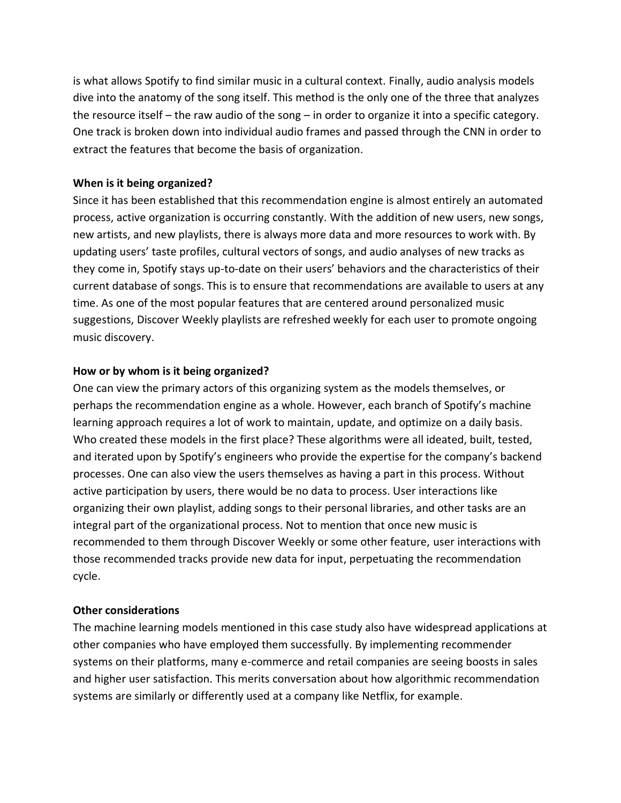is what allows Spotify to find similar music in a cultural context. Finally, audio analysis models dive into the anatomy of the song itself. This method is the only one of the three that analyzes the resource itself – the raw audio of the song – in order to organize it into a specific category. One track is broken down into individual audio frames and passed through the CNN in order to extract the features that become the basis of organization.

## **When is it being organized?**

Since it has been established that this recommendation engine is almost entirely an automated process, active organization is occurring constantly. With the addition of new users, new songs, new artists, and new playlists, there is always more data and more resources to work with. By updating users' taste profiles, cultural vectors of songs, and audio analyses of new tracks as they come in, Spotify stays up-to-date on their users' behaviors and the characteristics of their current database of songs. This is to ensure that recommendations are available to users at any time. As one of the most popular features that are centered around personalized music suggestions, Discover Weekly playlists are refreshed weekly for each user to promote ongoing music discovery.

#### **How or by whom is it being organized?**

One can view the primary actors of this organizing system as the models themselves, or perhaps the recommendation engine as a whole. However, each branch of Spotify's machine learning approach requires a lot of work to maintain, update, and optimize on a daily basis. Who created these models in the first place? These algorithms were all ideated, built, tested, and iterated upon by Spotify's engineers who provide the expertise for the company's backend processes. One can also view the users themselves as having a part in this process. Without active participation by users, there would be no data to process. User interactions like organizing their own playlist, adding songs to their personal libraries, and other tasks are an integral part of the organizational process. Not to mention that once new music is recommended to them through Discover Weekly or some other feature, user interactions with those recommended tracks provide new data for input, perpetuating the recommendation cycle.

## **Other considerations**

The machine learning models mentioned in this case study also have widespread applications at other companies who have employed them successfully. By implementing recommender systems on their platforms, many e-commerce and retail companies are seeing boosts in sales and higher user satisfaction. This merits conversation about how algorithmic recommendation systems are similarly or differently used at a company like Netflix, for example.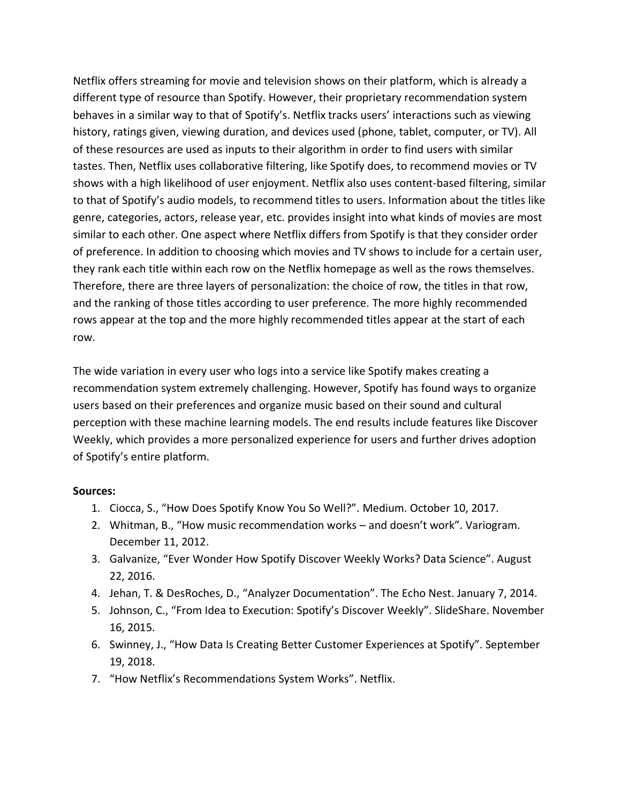Netflix offers streaming for movie and television shows on their platform, which is already a different type of resource than Spotify. However, their proprietary recommendation system behaves in a similar way to that of Spotify's. Netflix tracks users' interactions such as viewing history, ratings given, viewing duration, and devices used (phone, tablet, computer, or TV). All of these resources are used as inputs to their algorithm in order to find users with similar tastes. Then, Netflix uses collaborative filtering, like Spotify does, to recommend movies or TV shows with a high likelihood of user enjoyment. Netflix also uses content-based filtering, similar to that of Spotify's audio models, to recommend titles to users. Information about the titles like genre, categories, actors, release year, etc. provides insight into what kinds of movies are most similar to each other. One aspect where Netflix differs from Spotify is that they consider order of preference. In addition to choosing which movies and TV shows to include for a certain user, they rank each title within each row on the Netflix homepage as well as the rows themselves. Therefore, there are three layers of personalization: the choice of row, the titles in that row, and the ranking of those titles according to user preference. The more highly recommended rows appear at the top and the more highly recommended titles appear at the start of each row.

The wide variation in every user who logs into a service like Spotify makes creating a recommendation system extremely challenging. However, Spotify has found ways to organize users based on their preferences and organize music based on their sound and cultural perception with these machine learning models. The end results include features like Discover Weekly, which provides a more personalized experience for users and further drives adoption of Spotify's entire platform.

#### **Sources:**

- 1. Ciocca, S., "How Does Spotify Know You So Well?". Medium. October 10, 2017.
- 2. Whitman, B., "How music recommendation works and doesn't work". Variogram. December 11, 2012.
- 3. Galvanize, "Ever Wonder How Spotify Discover Weekly Works? Data Science". August 22, 2016.
- 4. Jehan, T. & DesRoches, D., "Analyzer Documentation". The Echo Nest. January 7, 2014.
- 5. Johnson, C., "From Idea to Execution: Spotify's Discover Weekly". SlideShare. November 16, 2015.
- 6. Swinney, J., "How Data Is Creating Better Customer Experiences at Spotify". September 19, 2018.
- 7. "How Netflix's Recommendations System Works". Netflix.